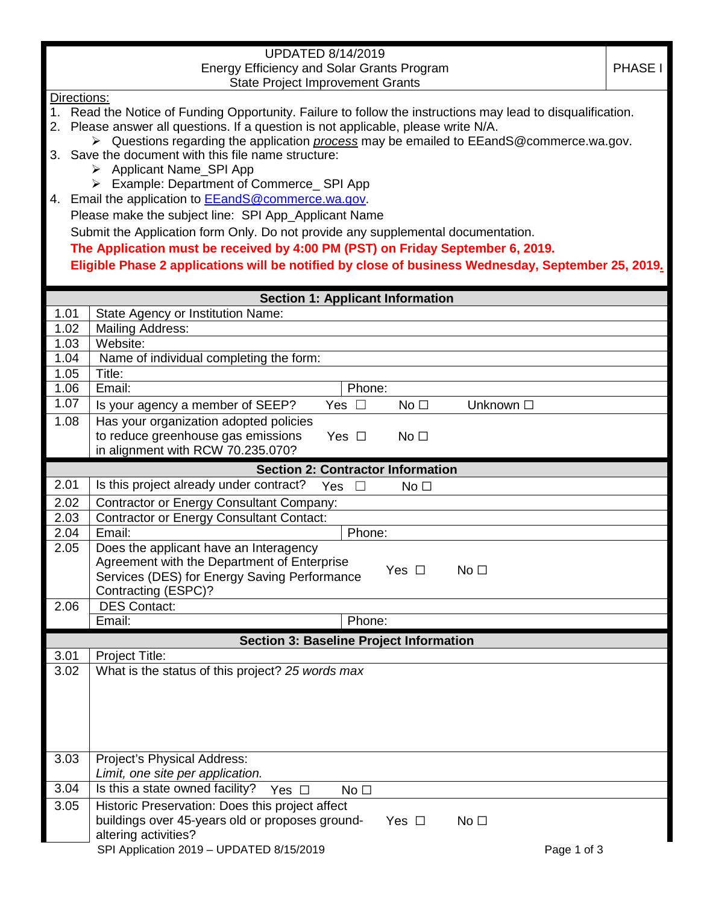| <b>UPDATED 8/14/2019</b>                                     |                                                                                                               |  |  |  |  |  |
|--------------------------------------------------------------|---------------------------------------------------------------------------------------------------------------|--|--|--|--|--|
| <b>Energy Efficiency and Solar Grants Program</b><br>PHASE I |                                                                                                               |  |  |  |  |  |
|                                                              | <b>State Project Improvement Grants</b>                                                                       |  |  |  |  |  |
|                                                              | Directions:                                                                                                   |  |  |  |  |  |
|                                                              | 1. Read the Notice of Funding Opportunity. Failure to follow the instructions may lead to disqualification.   |  |  |  |  |  |
|                                                              | 2. Please answer all questions. If a question is not applicable, please write N/A.                            |  |  |  |  |  |
|                                                              | $\triangleright$ Questions regarding the application <i>process</i> may be emailed to EEandS@commerce.wa.gov. |  |  |  |  |  |
|                                                              | 3. Save the document with this file name structure:                                                           |  |  |  |  |  |
|                                                              | <b>Applicant Name SPI App</b><br>➤                                                                            |  |  |  |  |  |
|                                                              | Example: Department of Commerce_ SPI App<br>➤                                                                 |  |  |  |  |  |
|                                                              | 4. Email the application to EEandS@commerce.wa.gov.                                                           |  |  |  |  |  |
|                                                              | Please make the subject line: SPI App_Applicant Name                                                          |  |  |  |  |  |
|                                                              | Submit the Application form Only. Do not provide any supplemental documentation.                              |  |  |  |  |  |
|                                                              | The Application must be received by 4:00 PM (PST) on Friday September 6, 2019.                                |  |  |  |  |  |
|                                                              |                                                                                                               |  |  |  |  |  |
|                                                              | Eligible Phase 2 applications will be notified by close of business Wednesday, September 25, 2019.            |  |  |  |  |  |
|                                                              |                                                                                                               |  |  |  |  |  |
|                                                              | <b>Section 1: Applicant Information</b>                                                                       |  |  |  |  |  |
| 1.01<br>1.02                                                 | State Agency or Institution Name:<br><b>Mailing Address:</b>                                                  |  |  |  |  |  |
| 1.03                                                         | Website:                                                                                                      |  |  |  |  |  |
| 1.04                                                         | Name of individual completing the form:                                                                       |  |  |  |  |  |
| 1.05                                                         | Title:                                                                                                        |  |  |  |  |  |
| 1.06                                                         | Email:<br>Phone:                                                                                              |  |  |  |  |  |
| 1.07                                                         |                                                                                                               |  |  |  |  |  |
|                                                              | Is your agency a member of SEEP?<br>Yes $\square$<br>No <sub>1</sub><br>Unknown □                             |  |  |  |  |  |
| 1.08                                                         | Has your organization adopted policies                                                                        |  |  |  |  |  |
|                                                              | to reduce greenhouse gas emissions<br>No <sub>1</sub><br>Yes $\square$<br>in alignment with RCW 70.235.070?   |  |  |  |  |  |
|                                                              |                                                                                                               |  |  |  |  |  |
| 2.01                                                         | <b>Section 2: Contractor Information</b><br>Is this project already under contract?                           |  |  |  |  |  |
|                                                              | Yes<br>No <sub>1</sub><br>$\Box$                                                                              |  |  |  |  |  |
| 2.02                                                         | <b>Contractor or Energy Consultant Company:</b>                                                               |  |  |  |  |  |
| 2.03                                                         | <b>Contractor or Energy Consultant Contact:</b>                                                               |  |  |  |  |  |
| 2.04                                                         | Email:<br>Phone:                                                                                              |  |  |  |  |  |
| 2.05                                                         | Does the applicant have an Interagency                                                                        |  |  |  |  |  |
|                                                              | Agreement with the Department of Enterprise<br>No <sub>1</sub><br>Yes $\Box$                                  |  |  |  |  |  |
|                                                              | Services (DES) for Energy Saving Performance                                                                  |  |  |  |  |  |
|                                                              | Contracting (ESPC)?                                                                                           |  |  |  |  |  |
| 2.06                                                         | <b>DES Contact:</b>                                                                                           |  |  |  |  |  |
| Email:<br>Phone:                                             |                                                                                                               |  |  |  |  |  |
| <b>Section 3: Baseline Project Information</b>               |                                                                                                               |  |  |  |  |  |
| 3.01                                                         | Project Title:                                                                                                |  |  |  |  |  |
| 3.02                                                         | What is the status of this project? 25 words max                                                              |  |  |  |  |  |
|                                                              |                                                                                                               |  |  |  |  |  |
|                                                              |                                                                                                               |  |  |  |  |  |
|                                                              |                                                                                                               |  |  |  |  |  |
|                                                              |                                                                                                               |  |  |  |  |  |
| 3.03                                                         | Project's Physical Address:                                                                                   |  |  |  |  |  |
|                                                              | Limit, one site per application.                                                                              |  |  |  |  |  |
| 3.04                                                         | Is this a state owned facility?<br>Yes $\square$<br>No <sub>1</sub>                                           |  |  |  |  |  |
| 3.05                                                         | Historic Preservation: Does this project affect                                                               |  |  |  |  |  |
|                                                              | buildings over 45-years old or proposes ground-<br>No <sub>1</sub>                                            |  |  |  |  |  |
|                                                              | Yes $\Box$<br>altering activities?                                                                            |  |  |  |  |  |
|                                                              | SPI Application 2019 - UPDATED 8/15/2019<br>Page 1 of 3                                                       |  |  |  |  |  |
|                                                              |                                                                                                               |  |  |  |  |  |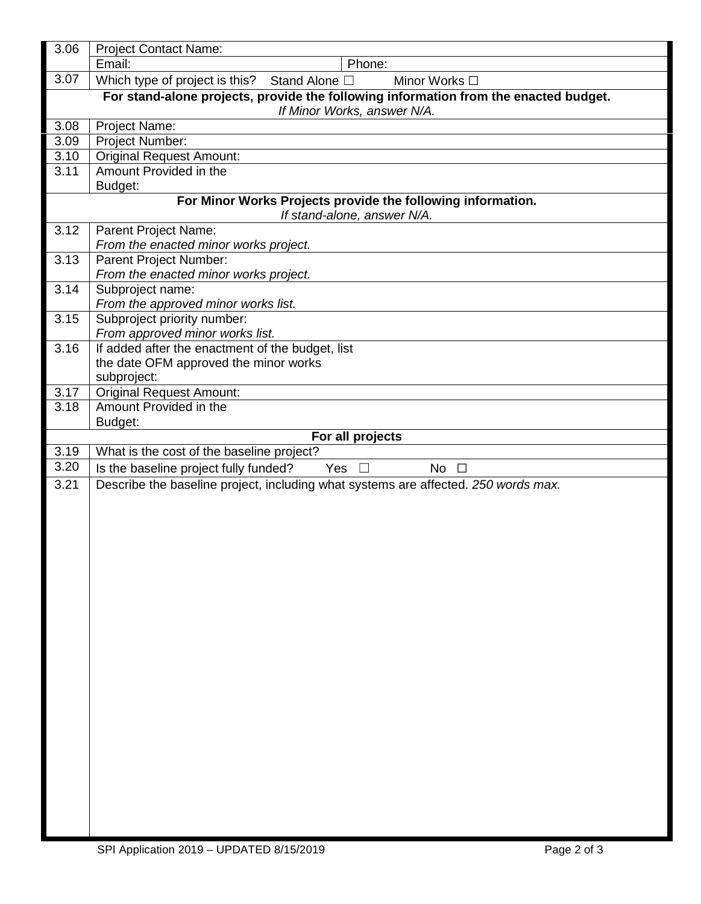| 3.06                                                                                                                | <b>Project Contact Name:</b>                                                       |  |  |  |
|---------------------------------------------------------------------------------------------------------------------|------------------------------------------------------------------------------------|--|--|--|
|                                                                                                                     | Email:<br>Phone:                                                                   |  |  |  |
| 3.07                                                                                                                | Which type of project is this? Stand Alone $\Box$<br>Minor Works □                 |  |  |  |
| For stand-alone projects, provide the following information from the enacted budget.<br>If Minor Works, answer N/A. |                                                                                    |  |  |  |
| 3.08                                                                                                                | Project Name:                                                                      |  |  |  |
| 3.09                                                                                                                | Project Number:                                                                    |  |  |  |
| 3.10                                                                                                                | <b>Original Request Amount:</b>                                                    |  |  |  |
| 3.11                                                                                                                | Amount Provided in the<br>Budget:                                                  |  |  |  |
| For Minor Works Projects provide the following information.<br>If stand-alone, answer N/A.                          |                                                                                    |  |  |  |
| 3.12                                                                                                                | Parent Project Name:                                                               |  |  |  |
|                                                                                                                     | From the enacted minor works project.                                              |  |  |  |
| 3.13                                                                                                                | Parent Project Number:<br>From the enacted minor works project.                    |  |  |  |
| 3.14                                                                                                                | Subproject name:<br>From the approved minor works list.                            |  |  |  |
| 3.15                                                                                                                | Subproject priority number:<br>From approved minor works list.                     |  |  |  |
| 3.16                                                                                                                | If added after the enactment of the budget, list                                   |  |  |  |
|                                                                                                                     | the date OFM approved the minor works                                              |  |  |  |
|                                                                                                                     | subproject:                                                                        |  |  |  |
| 3.17                                                                                                                | <b>Original Request Amount:</b>                                                    |  |  |  |
| 3.18                                                                                                                | Amount Provided in the                                                             |  |  |  |
|                                                                                                                     | Budget:                                                                            |  |  |  |
|                                                                                                                     | For all projects                                                                   |  |  |  |
| 3.19                                                                                                                | What is the cost of the baseline project?                                          |  |  |  |
| 3.20                                                                                                                | Is the baseline project fully funded?<br>Yes<br>No $\square$<br>$\perp$            |  |  |  |
| 3.21                                                                                                                | Describe the baseline project, including what systems are affected. 250 words max. |  |  |  |
|                                                                                                                     |                                                                                    |  |  |  |
|                                                                                                                     |                                                                                    |  |  |  |
|                                                                                                                     |                                                                                    |  |  |  |
|                                                                                                                     |                                                                                    |  |  |  |
|                                                                                                                     |                                                                                    |  |  |  |
|                                                                                                                     |                                                                                    |  |  |  |
|                                                                                                                     |                                                                                    |  |  |  |
|                                                                                                                     |                                                                                    |  |  |  |
|                                                                                                                     |                                                                                    |  |  |  |
|                                                                                                                     |                                                                                    |  |  |  |
|                                                                                                                     |                                                                                    |  |  |  |
|                                                                                                                     |                                                                                    |  |  |  |
|                                                                                                                     |                                                                                    |  |  |  |
|                                                                                                                     |                                                                                    |  |  |  |
|                                                                                                                     |                                                                                    |  |  |  |
|                                                                                                                     |                                                                                    |  |  |  |
|                                                                                                                     |                                                                                    |  |  |  |
|                                                                                                                     |                                                                                    |  |  |  |
|                                                                                                                     |                                                                                    |  |  |  |
|                                                                                                                     |                                                                                    |  |  |  |
|                                                                                                                     |                                                                                    |  |  |  |
|                                                                                                                     |                                                                                    |  |  |  |